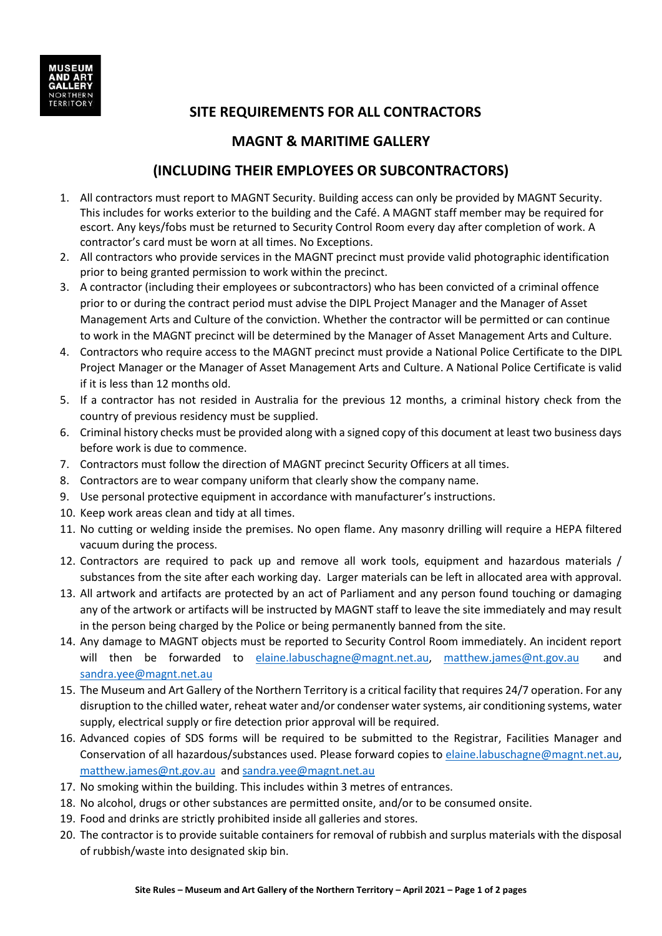

## **SITE REQUIREMENTS FOR ALL CONTRACTORS**

## **MAGNT & MARITIME GALLERY**

## **(INCLUDING THEIR EMPLOYEES OR SUBCONTRACTORS)**

- 1. All contractors must report to MAGNT Security. Building access can only be provided by MAGNT Security. This includes for works exterior to the building and the Café. A MAGNT staff member may be required for escort. Any keys/fobs must be returned to Security Control Room every day after completion of work. A contractor's card must be worn at all times. No Exceptions.
- 2. All contractors who provide services in the MAGNT precinct must provide valid photographic identification prior to being granted permission to work within the precinct.
- 3. A contractor (including their employees or subcontractors) who has been convicted of a criminal offence prior to or during the contract period must advise the DIPL Project Manager and the Manager of Asset Management Arts and Culture of the conviction. Whether the contractor will be permitted or can continue to work in the MAGNT precinct will be determined by the Manager of Asset Management Arts and Culture.
- 4. Contractors who require access to the MAGNT precinct must provide a National Police Certificate to the DIPL Project Manager or the Manager of Asset Management Arts and Culture. A National Police Certificate is valid if it is less than 12 months old.
- 5. If a contractor has not resided in Australia for the previous 12 months, a criminal history check from the country of previous residency must be supplied.
- 6. Criminal history checks must be provided along with a signed copy of this document at least two business days before work is due to commence.
- 7. Contractors must follow the direction of MAGNT precinct Security Officers at all times.
- 8. Contractors are to wear company uniform that clearly show the company name.
- 9. Use personal protective equipment in accordance with manufacturer's instructions.
- 10. Keep work areas clean and tidy at all times.
- 11. No cutting or welding inside the premises. No open flame. Any masonry drilling will require a HEPA filtered vacuum during the process.
- 12. Contractors are required to pack up and remove all work tools, equipment and hazardous materials / substances from the site after each working day. Larger materials can be left in allocated area with approval.
- 13. All artwork and artifacts are protected by an act of Parliament and any person found touching or damaging any of the artwork or artifacts will be instructed by MAGNT staff to leave the site immediately and may result in the person being charged by the Police or being permanently banned from the site.
- 14. Any damage to MAGNT objects must be reported to Security Control Room immediately. An incident report will then be forwarded to [elaine.labuschagne@magnt.net.au,](mailto:elaine.labuschagne@magnt.net.au) [matthew.james@nt.gov.au](mailto:matthew.james@nt.gov.au) and [sandra.yee@magnt.net.au](mailto:sandra.yee@magnt.net.au)
- 15. The Museum and Art Gallery of the Northern Territory is a critical facility that requires 24/7 operation. For any disruption to the chilled water, reheat water and/or condenser water systems, air conditioning systems, water supply, electrical supply or fire detection prior approval will be required.
- 16. Advanced copies of SDS forms will be required to be submitted to the Registrar, Facilities Manager and Conservation of all hazardous/substances used. Please forward copies to [elaine.labuschagne@magnt.net.au,](mailto:elaine.labuschagne@magnt.net.au) [matthew.james@nt.gov.au](mailto:matthew.james@nt.gov.au) and [sandra.yee@magnt.net.au](mailto:sandra.yee@magnt.net.au)
- 17. No smoking within the building. This includes within 3 metres of entrances.
- 18. No alcohol, drugs or other substances are permitted onsite, and/or to be consumed onsite.
- 19. Food and drinks are strictly prohibited inside all galleries and stores.
- 20. The contractor is to provide suitable containers for removal of rubbish and surplus materials with the disposal of rubbish/waste into designated skip bin.